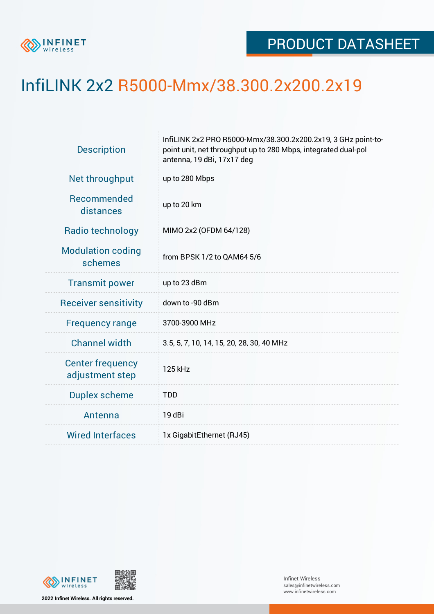

## InfiLINK 2x2 R5000-Mmx/38.300.2x200.2x19

| <b>Description</b>                         | InfiLINK 2x2 PRO R5000-Mmx/38.300.2x200.2x19, 3 GHz point-to-<br>point unit, net throughput up to 280 Mbps, integrated dual-pol<br>antenna, 19 dBi, 17x17 deg |  |  |  |  |
|--------------------------------------------|---------------------------------------------------------------------------------------------------------------------------------------------------------------|--|--|--|--|
| Net throughput                             | up to 280 Mbps                                                                                                                                                |  |  |  |  |
| Recommended<br>distances                   | up to 20 km                                                                                                                                                   |  |  |  |  |
| Radio technology                           | MIMO 2x2 (OFDM 64/128)                                                                                                                                        |  |  |  |  |
| <b>Modulation coding</b><br>schemes        | from BPSK 1/2 to QAM64 5/6                                                                                                                                    |  |  |  |  |
| <b>Transmit power</b>                      | up to 23 dBm                                                                                                                                                  |  |  |  |  |
| <b>Receiver sensitivity</b>                | down to -90 dBm                                                                                                                                               |  |  |  |  |
| <b>Frequency range</b>                     | 3700-3900 MHz                                                                                                                                                 |  |  |  |  |
| <b>Channel width</b>                       | 3.5, 5, 7, 10, 14, 15, 20, 28, 30, 40 MHz                                                                                                                     |  |  |  |  |
| <b>Center frequency</b><br>adjustment step | 125 kHz                                                                                                                                                       |  |  |  |  |
| <b>Duplex scheme</b>                       | <b>TDD</b>                                                                                                                                                    |  |  |  |  |
| Antenna                                    | 19 dBi                                                                                                                                                        |  |  |  |  |
| <b>Wired Interfaces</b>                    | 1x GigabitEthernet (RJ45)                                                                                                                                     |  |  |  |  |



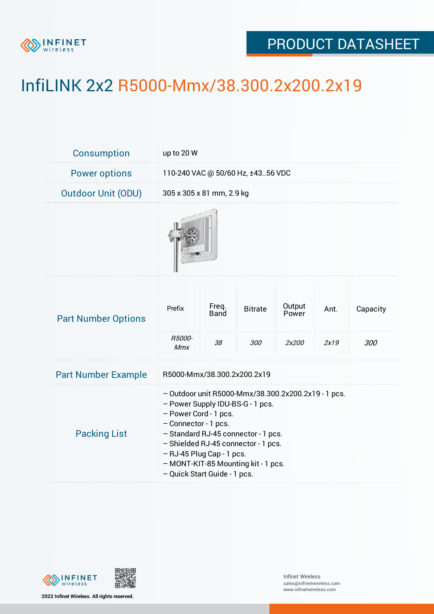

## PRODUCT DATASHEET

## InfiLINK 2x2 R5000-Mmx/38.300.2x200.2x19

| Consumption                | up to 20 W                                                                                                                                                                                                                                                                                                                 |                            |                       |                          |              |                 |  |  |
|----------------------------|----------------------------------------------------------------------------------------------------------------------------------------------------------------------------------------------------------------------------------------------------------------------------------------------------------------------------|----------------------------|-----------------------|--------------------------|--------------|-----------------|--|--|
| <b>Power options</b>       | 110-240 VAC @ 50/60 Hz, ±4356 VDC                                                                                                                                                                                                                                                                                          |                            |                       |                          |              |                 |  |  |
| <b>Outdoor Unit (ODU)</b>  | 305 x 305 x 81 mm, 2.9 kg                                                                                                                                                                                                                                                                                                  |                            |                       |                          |              |                 |  |  |
|                            |                                                                                                                                                                                                                                                                                                                            |                            |                       |                          |              |                 |  |  |
| <b>Part Number Options</b> | Prefix<br>R5000-<br><b>Mmx</b>                                                                                                                                                                                                                                                                                             | Freq.<br><b>Band</b><br>38 | <b>Bitrate</b><br>300 | Output<br>Power<br>2x200 | Ant.<br>2x19 | Capacity<br>300 |  |  |
| <b>Part Number Example</b> | R5000-Mmx/38.300.2x200.2x19                                                                                                                                                                                                                                                                                                |                            |                       |                          |              |                 |  |  |
| <b>Packing List</b>        | - Outdoor unit R5000-Mmx/38.300.2x200.2x19 - 1 pcs.<br>- Power Supply IDU-BS-G - 1 pcs.<br>- Power Cord - 1 pcs.<br>- Connector - 1 pcs.<br>- Standard RJ-45 connector - 1 pcs.<br>- Shielded RJ-45 connector - 1 pcs.<br>- RJ-45 Plug Cap - 1 pcs.<br>- MONT-KIT-85 Mounting kit - 1 pcs.<br>- Quick Start Guide - 1 pcs. |                            |                       |                          |              |                 |  |  |



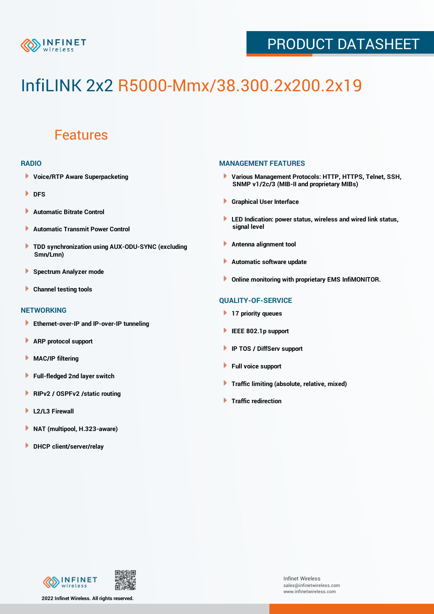

## PRODUCT DATASHEET

# InfiLINK 2x2 R5000-Mmx/38.300.2x200.2x19

### Features

#### **RADIO**

- **Voice/RTP Aware Superpacketing**
- **DFS**
- **Automatic Bitrate Control** Þ
- Þ **Automatic Transmit Power Control**
- ь **TDD synchronization using AUX-ODU-SYNC (excluding Smn/Lmn)**
- **Spectrum Analyzer mode** ۰
- **Channel testing tools** ١

#### **NETWORKING**

- **Ethernet-over-IP and IP-over-IP tunneling**
- **ARP protocol support** ٠
- ۱ **MAC/IP filtering**
- Þ **Full-fledged 2nd layer switch**
- Þ **RIPv2 / OSPFv2 /static routing**
- **L2/L3 Firewall** Þ
- **NAT (multipool, H.323-aware)** Þ
- Þ **DHCP client/server/relay**

#### **MANAGEMENT FEATURES**

- **Various Management Protocols: HTTP, HTTPS, Telnet, SSH, SNMP v1/2c/3 (MIB-II and proprietary MIBs)**
- **Graphical User Interface**
- **LED Indication: power status, wireless and wired link status, signal level**
- **Antenna alignment tool**
- ٠ **Automatic software update**
- **Online monitoring with proprietary EMS InfiMONITOR.**

#### **QUALITY-OF-SERVICE**

- **17 priority queues**
- **IEEE 802.1p support**
- **IP TOS / DiffServ support**
- ٠ **Full voice support**
- **Traffic limiting (absolute, relative, mixed)** ٠
- **Traffic redirection**